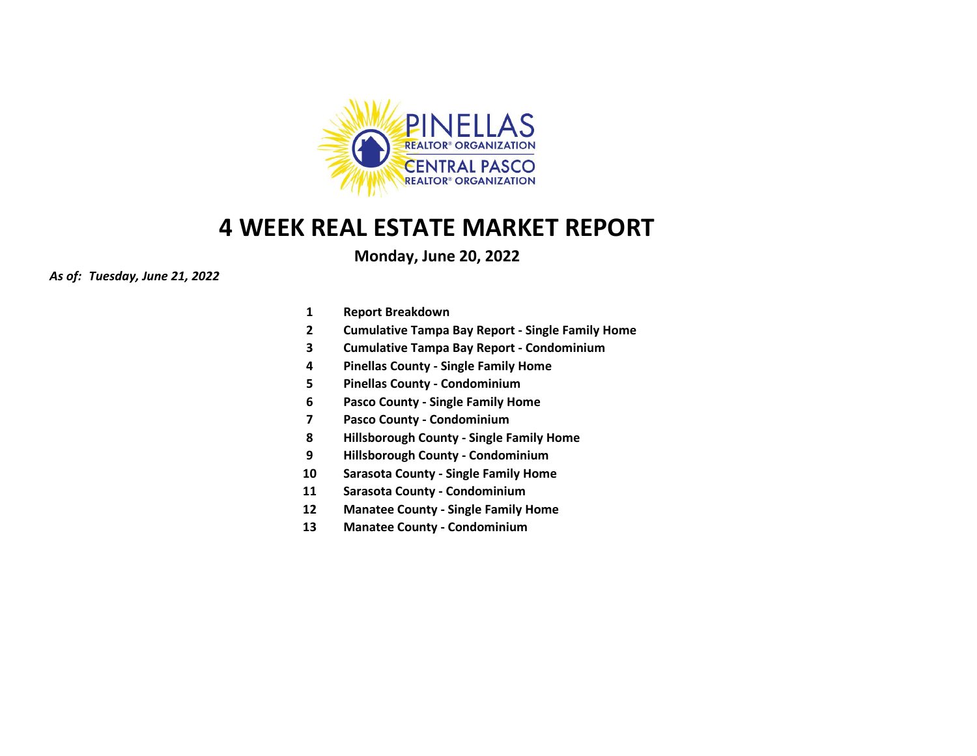

## **Monday, June 20, 2022**

## *As of: Tuesday, June 21, 2022*

- **1 Report Breakdown**
- **2 Cumulative Tampa Bay Report - Single Family Home**
- **3 Cumulative Tampa Bay Report - Condominium**
- **4 Pinellas County - Single Family Home**
- **5 Pinellas County - Condominium**
- **6 Pasco County - Single Family Home**
- **7 Pasco County - Condominium**
- **8 Hillsborough County - Single Family Home**
- **9 Hillsborough County - Condominium**
- **10 Sarasota County - Single Family Home**
- **11 Sarasota County - Condominium**
- **12 Manatee County - Single Family Home**
- **13 Manatee County - Condominium**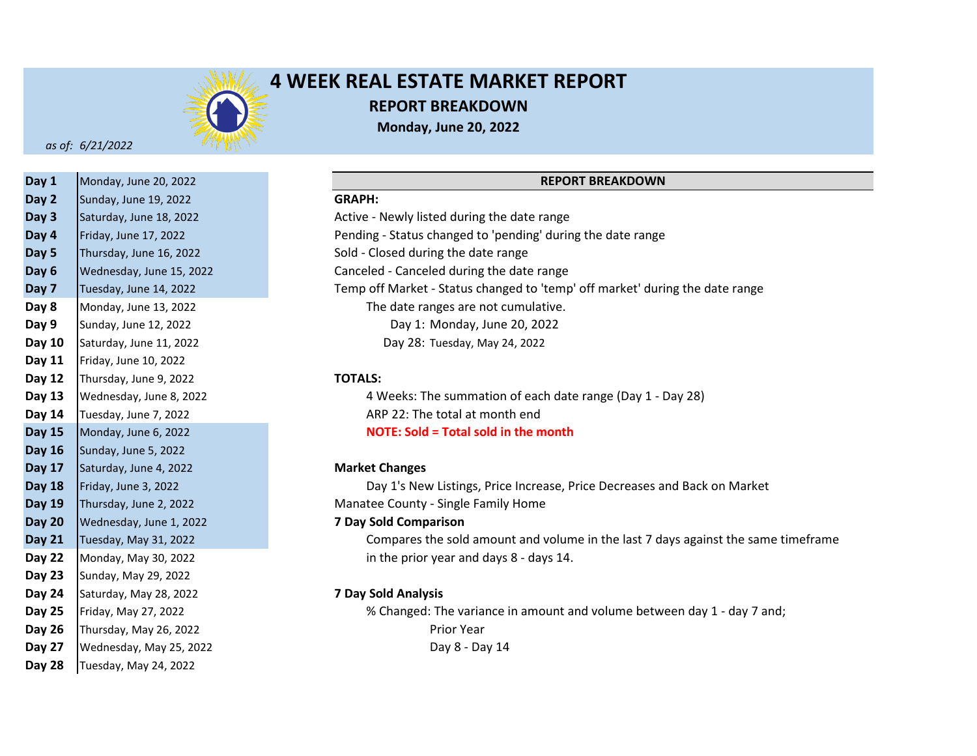

# **4 WEEK REAL ESTATE MARKET REPORT REPORT BREAKDOWN Monday, June 20, 2022**

*as of: 6/21/2022*

| Day 1         | Monday, June 20, 2022    |                              |
|---------------|--------------------------|------------------------------|
| Day 2         | Sunday, June 19, 2022    | <b>GRAPH:</b>                |
| Day 3         | Saturday, June 18, 2022  | Active - Newly listed during |
| Day 4         | Friday, June 17, 2022    | Pending - Status changed to  |
| Day 5         | Thursday, June 16, 2022  | Sold - Closed during the dat |
| Day 6         | Wednesday, June 15, 2022 | Canceled - Canceled during   |
| Day 7         | Tuesday, June 14, 2022   | Temp off Market - Status cl  |
| Day 8         | Monday, June 13, 2022    | The date ranges are n        |
| Day 9         | Sunday, June 12, 2022    | Day 1: Monday, J             |
| Day 10        | Saturday, June 11, 2022  | Day 28: Tuesday, M           |
| Day 11        | Friday, June 10, 2022    |                              |
| Day 12        | Thursday, June 9, 2022   | <b>TOTALS:</b>               |
| Day 13        | Wednesday, June 8, 2022  | 4 Weeks: The summa           |
| Day 14        | Tuesday, June 7, 2022    | ARP 22: The total at n       |
| <b>Day 15</b> | Monday, June 6, 2022     | <b>NOTE: Sold = Total so</b> |
| Day 16        | Sunday, June 5, 2022     |                              |
| Day 17        | Saturday, June 4, 2022   | <b>Market Changes</b>        |
| <b>Day 18</b> | Friday, June 3, 2022     | Day 1's New Listings,        |
| Day 19        | Thursday, June 2, 2022   | Manatee County - Single Fa   |
| <b>Day 20</b> | Wednesday, June 1, 2022  | <b>7 Day Sold Comparison</b> |
| <b>Day 21</b> | Tuesday, May 31, 2022    | Compares the sold an         |
| Day 22        | Monday, May 30, 2022     | in the prior year and        |
| <b>Day 23</b> | Sunday, May 29, 2022     |                              |
| Day 24        | Saturday, May 28, 2022   | <b>7 Day Sold Analysis</b>   |
| Day 25        | Friday, May 27, 2022     | % Changed: The varia         |
| Day 26        | Thursday, May 26, 2022   | Prior Year                   |
| Day 27        | Wednesday, May 25, 2022  | Day 8 - Da                   |
| <b>Day 28</b> | Tuesday, May 24, 2022    |                              |

## **REPORT BREAKDOWN**

**Day 3** Active - Newly listed during the date range **Day 4** Pending - Status changed to 'pending' during the date range Sold - Closed during the date range Canceled - Canceled during the date range **Day 7** Temp off Market - Status changed to 'temp' off market' during the date range The date ranges are not cumulative. Day 1: Monday, June 20, 2022 Day 28: Tuesday, May 24, 2022

### **Day 12 TOTALS:**

**Day 13** 4 Weeks: The summation of each date range (Day 1 - Day 28) **Day 14** ARP 22: The total at month end **Day 15 NOTE: Sold = Total sold in the month**

### **Day 17 Market Changes**

Day 1's New Listings, Price Increase, Price Decreases and Back on Market **Day 19** Manatee County - Single Family Home

## **Day 20 7 Day Sold Comparison**

**Day 21** Compares the sold amount and volume in the last 7 days against the same timeframe **Day 22** in the prior year and days 8 - days 14.

## **Day 24 7 Day Sold Analysis**

**Day 25** % Changed: The variance in amount and volume between day 1 - day 7 and; Day 8 - Day 14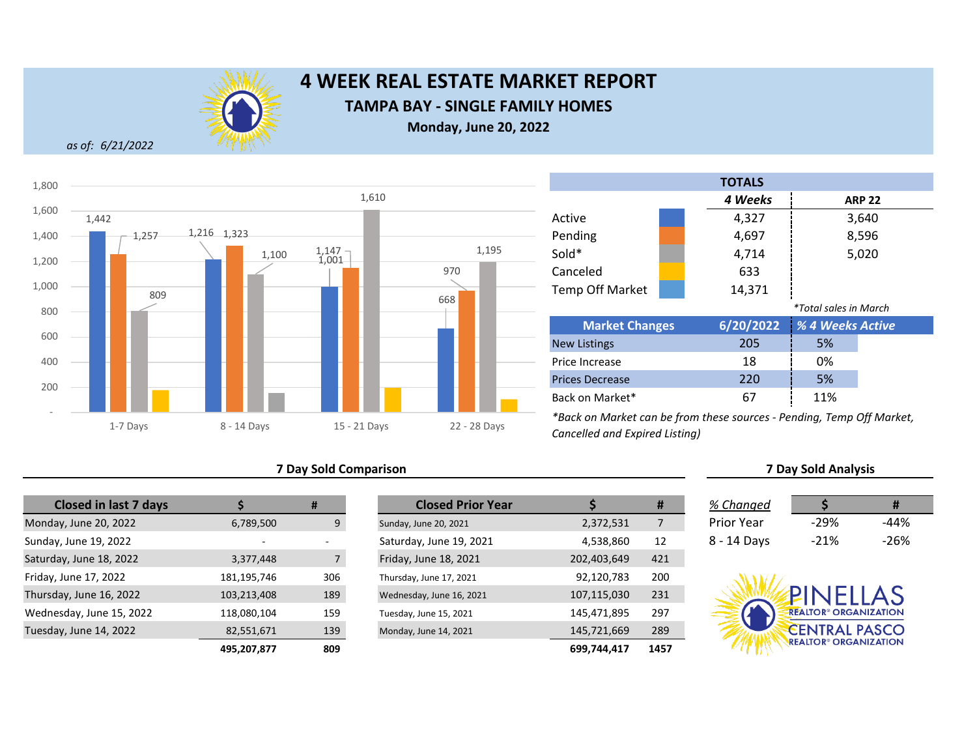

## **4 WEEK REAL ESTATE MARKET REPORT TAMPA BAY - SINGLE FAMILY HOMES Monday, June 20, 2022**

*as of: 6/21/2022*



## **7 Day Sold Comparison**

| <b>Closed in last 7 days</b> |             | #   | <b>Closed Prior Year</b> |             |
|------------------------------|-------------|-----|--------------------------|-------------|
| Monday, June 20, 2022        | 6,789,500   | 9   | Sunday, June 20, 2021    | 2,372,531   |
| Sunday, June 19, 2022        |             |     | Saturday, June 19, 2021  | 4,538,860   |
| Saturday, June 18, 2022      | 3,377,448   | 7   | Friday, June 18, 2021    | 202,403,649 |
| Friday, June 17, 2022        | 181,195,746 | 306 | Thursday, June 17, 2021  | 92,120,783  |
| Thursday, June 16, 2022      | 103,213,408 | 189 | Wednesday, June 16, 2021 | 107,115,030 |
| Wednesday, June 15, 2022     | 118,080,104 | 159 | Tuesday, June 15, 2021   | 145,471,895 |
| Tuesday, June 14, 2022       | 82,551,671  | 139 | Monday, June 14, 2021    | 145,721,669 |
|                              | 495 207 877 | 809 |                          | 699 744 417 |

| <b>Closed in last 7 days</b> |             | #   | <b>Closed Prior Year</b> |             | #    | % Changed         |                                         | #      |
|------------------------------|-------------|-----|--------------------------|-------------|------|-------------------|-----------------------------------------|--------|
| ay, June 20, 2022            | 6,789,500   | 9   | Sunday, June 20, 2021    | 2,372,531   |      | <b>Prior Year</b> | -29%                                    | $-44%$ |
| y, June 19, 2022             |             |     | Saturday, June 19, 2021  | 4,538,860   | 12   | 8 - 14 Days       | $-21%$                                  | $-26%$ |
| lay, June 18, 2022           | 3,377,448   |     | Friday, June 18, 2021    | 202,403,649 | 421  |                   |                                         |        |
| , June 17, 2022              | 181,195,746 | 306 | Thursday, June 17, 2021  | 92,120,783  | 200  |                   |                                         |        |
| day, June 16, 2022           | 103,213,408 | 189 | Wednesday, June 16, 2021 | 107,115,030 | 231  |                   | PINELLAS                                |        |
| esday, June 15, 2022         | 118,080,104 | 159 | Tuesday, June 15, 2021   | 145,471,895 | 297  |                   | <b>REALTOR® ORGANIZATION</b>            |        |
| ay, June 14, 2022            | 82,551,671  | 139 | Monday, June 14, 2021    | 145,721,669 | 289  |                   | <b>CENTRAL PASCO</b>                    |        |
|                              | 495,207,877 | 809 |                          | 699,744,417 | 1457 |                   | <b>REALTOR<sup>®</sup> ORGANIZATION</b> |        |

### *4 Weeks* 4,327 4,697 4,714 633 14,371 *\*Total sales in March* **6/20/2022 Market Changes** *% 4 Weeks Active* **ARP 22** 3,640 8,596 5,020 Sold\* Canceled Temp Off Market Pending **TOTALS**

| <b>IVIATKEL CHANGES</b> |     | $O(ZU/ZUZZ - Z_0 + VVEENS AUIVE)$ |  |
|-------------------------|-----|-----------------------------------|--|
| <b>New Listings</b>     | 205 | 5%                                |  |
| Price Increase          | 18  | 0%                                |  |
| <b>Prices Decrease</b>  | 220 | 5%                                |  |
| Back on Market*         | 67  | 11%                               |  |

*\*Back on Market can be from these sources - Pending, Temp Off Market, Cancelled and Expired Listing)*

| % Changed   |        | Ħ    |
|-------------|--------|------|
| Prior Year  | $-29%$ | -44% |
| 8 - 14 Days | $-21%$ | -26% |

**7 Day Sold Analysis**

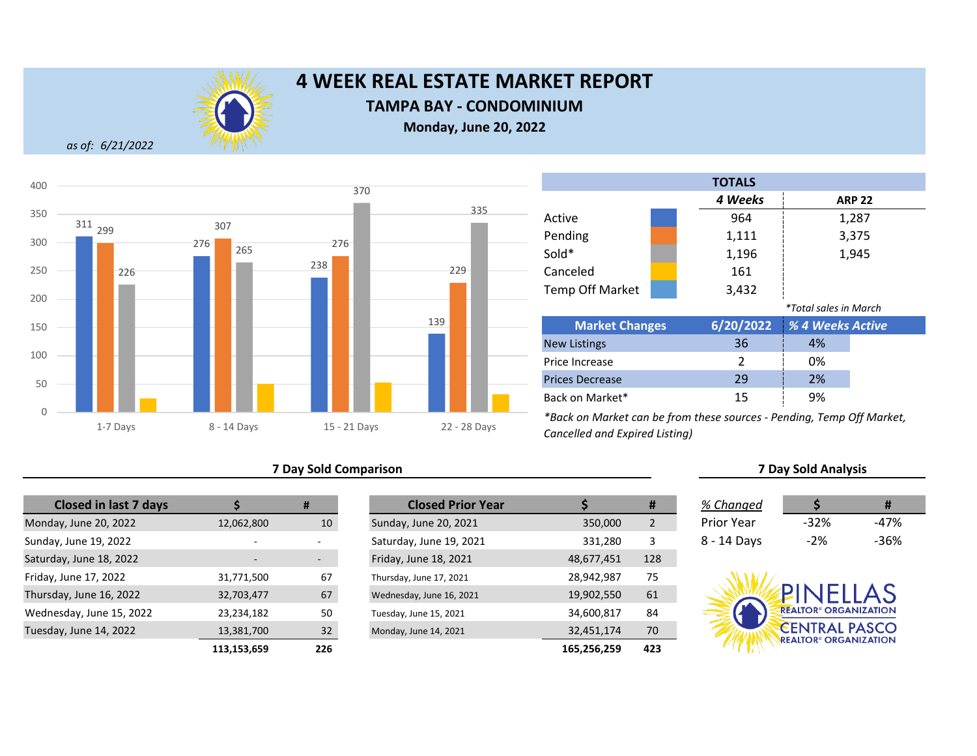

## **TAMPA BAY - CONDOMINIUM**

**Monday, June 20, 2022**

*as of: 6/21/2022*



## **7 Day Sold Comparison 7 Day Sold Analysis**

| <b>Closed in last 7 days</b> |                | #    | <b>Closed Prior Year</b> |             |  |
|------------------------------|----------------|------|--------------------------|-------------|--|
| Monday, June 20, 2022        | 12,062,800     | 10   | Sunday, June 20, 2021    | 350,000     |  |
| Sunday, June 19, 2022        | $\overline{a}$ |      | Saturday, June 19, 2021  | 331,280     |  |
| Saturday, June 18, 2022      |                |      | Friday, June 18, 2021    | 48,677,451  |  |
| Friday, June 17, 2022        | 31,771,500     | 67   | Thursday, June 17, 2021  | 28,942,987  |  |
| Thursday, June 16, 2022      | 32,703,477     | 67   | Wednesday, June 16, 2021 | 19,902,550  |  |
| Wednesday, June 15, 2022     | 23,234,182     | 50   | Tuesday, June 15, 2021   | 34,600,817  |  |
| Tuesday, June 14, 2022       | 13,381,700     | 32   | Monday, June 14, 2021    | 32,451,174  |  |
|                              | 113.153.659    | 226. |                          | 165.256.259 |  |

|                          | #                        | <b>Closed Prior Year</b> |             | #              | % Changed         |                                         |        |
|--------------------------|--------------------------|--------------------------|-------------|----------------|-------------------|-----------------------------------------|--------|
| 12,062,800               | 10                       | Sunday, June 20, 2021    | 350,000     | $\overline{2}$ | <b>Prior Year</b> | $-32%$                                  | $-47%$ |
| $\overline{a}$           | -                        | Saturday, June 19, 2021  | 331,280     | 3              | 8 - 14 Days       | $-2%$                                   | $-36%$ |
| $\overline{\phantom{0}}$ | $\overline{\phantom{a}}$ | Friday, June 18, 2021    | 48,677,451  | 128            |                   |                                         |        |
| 31,771,500               | 67                       | Thursday, June 17, 2021  | 28,942,987  | 75             |                   |                                         |        |
| 32,703,477               | 67                       | Wednesday, June 16, 2021 | 19,902,550  | 61             |                   | PINFIIAS                                |        |
| 23,234,182               | 50                       | Tuesday, June 15, 2021   | 34,600,817  | 84             |                   | <b>REALTOR® ORGANIZATION</b>            |        |
| 13,381,700               | 32                       | Monday, June 14, 2021    | 32,451,174  | 70             |                   | <b>CENTRAL PASCO</b>                    |        |
| 113,153,659              | 226                      |                          | 165,256,259 | 423            |                   | <b>REALTOR<sup>®</sup> ORGANIZATION</b> |        |

|                        |    | <b>TOTALS</b> |                              |               |  |
|------------------------|----|---------------|------------------------------|---------------|--|
|                        |    | 4 Weeks       |                              | <b>ARP 22</b> |  |
| Active                 |    | 964           |                              | 1,287         |  |
| Pending                |    | 1,111         |                              | 3,375         |  |
| Sold*                  |    | 1,196         |                              | 1,945         |  |
| Canceled               |    | 161           |                              |               |  |
| <b>Temp Off Market</b> |    | 3,432         |                              |               |  |
|                        |    |               | <i>*Total sales in March</i> |               |  |
| <b>Market Changes</b>  |    | 6/20/2022     | % 4 Weeks Active             |               |  |
| <b>New Listings</b>    |    | 36            | 4%                           |               |  |
| Price Increase         |    | 2             | 0%                           |               |  |
| <b>Prices Decrease</b> | 29 | 2%            |                              |               |  |
| Back on Market*        |    | 15            | 9%                           |               |  |

| % Changed   |        | Ħ    |
|-------------|--------|------|
| Prior Year  | $-32%$ | -47% |
| 8 - 14 Days | -2%    | -36% |

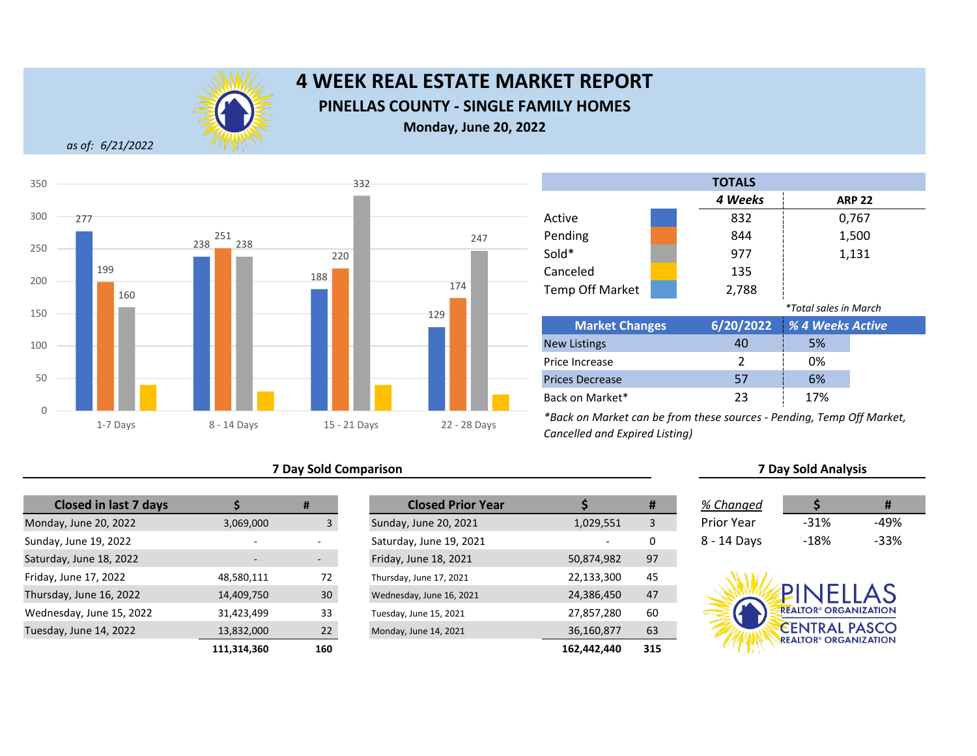

# **4 WEEK REAL ESTATE MARKET REPORT PINELLAS COUNTY - SINGLE FAMILY HOMES Monday, June 20, 2022**

*as of: 6/21/2022*



## **7 Day Sold Comparison**

| <b>Closed in last 7 days</b> |             | #   |
|------------------------------|-------------|-----|
| Monday, June 20, 2022        | 3,069,000   | 3   |
| Sunday, June 19, 2022        |             |     |
| Saturday, June 18, 2022      |             |     |
| Friday, June 17, 2022        | 48,580,111  | 72  |
| Thursday, June 16, 2022      | 14,409,750  | 30  |
| Wednesday, June 15, 2022     | 31,423,499  | 33  |
| Tuesday, June 14, 2022       | 13,832,000  | 22  |
|                              | 111 314 360 | 160 |

|                          | #                        | <b>Closed Prior Year</b> |             | #   | % Changed         |                                         | #      |
|--------------------------|--------------------------|--------------------------|-------------|-----|-------------------|-----------------------------------------|--------|
| 3,069,000                |                          | Sunday, June 20, 2021    | 1,029,551   | 3   | <b>Prior Year</b> | $-31%$                                  | $-49%$ |
| $\overline{\phantom{0}}$ |                          | Saturday, June 19, 2021  |             | 0   | 8 - 14 Days       | $-18%$                                  | $-33%$ |
|                          | $\overline{\phantom{a}}$ | Friday, June 18, 2021    | 50,874,982  | 97  |                   |                                         |        |
| 48,580,111               | 72                       | Thursday, June 17, 2021  | 22,133,300  | 45  |                   |                                         |        |
| 14,409,750               | 30                       | Wednesday, June 16, 2021 | 24,386,450  | 47  |                   | PINFIIAS                                |        |
| 31,423,499               | 33                       | Tuesday, June 15, 2021   | 27,857,280  | 60  |                   | <b>REALTOR® ORGANIZATION</b>            |        |
| 13,832,000               | 22                       | Monday, June 14, 2021    | 36,160,877  | 63  |                   | <b>CENTRAL PASCO</b>                    |        |
| 111,314,360              | 160                      |                          | 162,442,440 | 315 |                   | <b>REALTOR<sup>®</sup> ORGANIZATION</b> |        |

| <b>TOTALS</b>          |                |           |                       |       |  |  |
|------------------------|----------------|-----------|-----------------------|-------|--|--|
|                        | 4 Weeks        |           | <b>ARP 22</b>         |       |  |  |
| Active                 |                | 832       |                       | 0,767 |  |  |
| Pending                |                | 844       |                       | 1,500 |  |  |
| Sold*                  |                | 977       |                       | 1,131 |  |  |
| Canceled               |                | 135       |                       |       |  |  |
| <b>Temp Off Market</b> |                | 2,788     |                       |       |  |  |
|                        |                |           | *Total sales in March |       |  |  |
| <b>Market Changes</b>  |                | 6/20/2022 | % 4 Weeks Active      |       |  |  |
| <b>New Listings</b>    |                | 40        | 5%                    |       |  |  |
| Price Increase         | $\mathfrak{p}$ | 0%        |                       |       |  |  |
| <b>Prices Decrease</b> |                | 57        | 6%                    |       |  |  |
| Back on Market*        |                | 23        | 17%                   |       |  |  |

| <b>7 Day Sold Analysis</b> |  |
|----------------------------|--|
|                            |  |
|                            |  |

| % Changed   |      | Ħ    |
|-------------|------|------|
| Prior Year  | -31% | -49% |
| 8 - 14 Days | -18% | -33% |

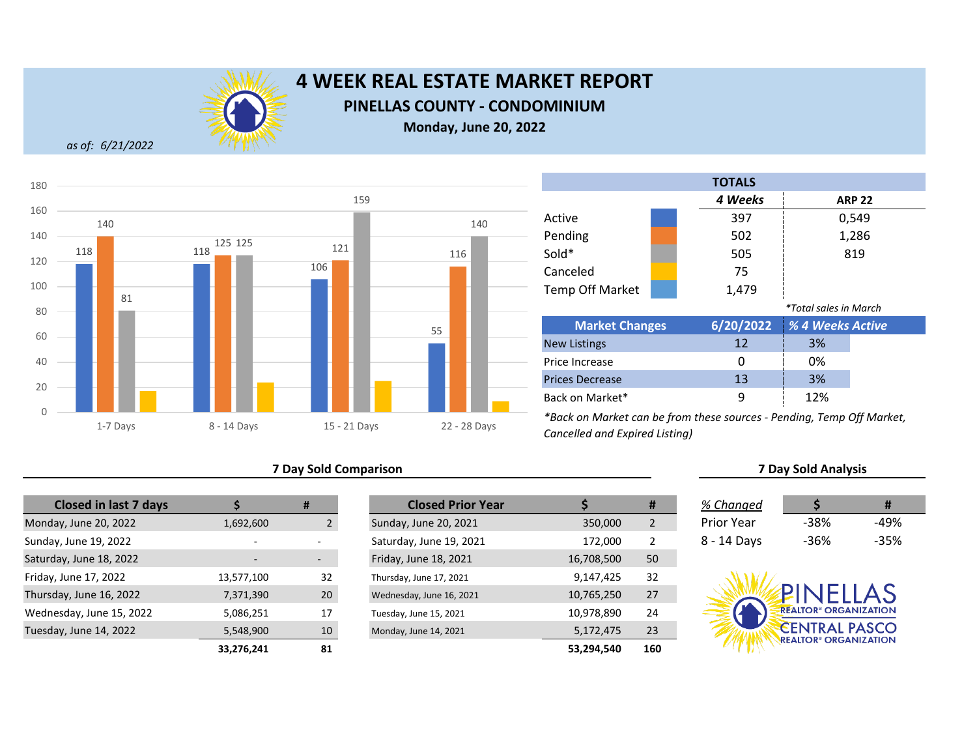

**PINELLAS COUNTY - CONDOMINIUM**

**Monday, June 20, 2022**

*as of: 6/21/2022*



## **7 Day Sold Comparison 7 Day Sold Analysis**

| <b>Closed in last 7 days</b> |                          | #               | <b>Closed Prior Year</b> |            |
|------------------------------|--------------------------|-----------------|--------------------------|------------|
| Monday, June 20, 2022        | 1,692,600                |                 | Sunday, June 20, 2021    | 350,000    |
| Sunday, June 19, 2022        | $\overline{\phantom{a}}$ |                 | Saturday, June 19, 2021  | 172,000    |
| Saturday, June 18, 2022      |                          |                 | Friday, June 18, 2021    | 16,708,500 |
| Friday, June 17, 2022        | 13,577,100               | 32              | Thursday, June 17, 2021  | 9,147,425  |
| Thursday, June 16, 2022      | 7,371,390                | 20 <sub>2</sub> | Wednesday, June 16, 2021 | 10,765,250 |
| Wednesday, June 15, 2022     | 5,086,251                | 17              | Tuesday, June 15, 2021   | 10,978,890 |
| Tuesday, June 14, 2022       | 5,548,900                | 10              | Monday, June 14, 2021    | 5,172,475  |
|                              | 33 276 241               | 81              |                          | 53 294 540 |

|                          | #                        | <b>Closed Prior Year</b> |            | #              | % Changed         |                                                                 |        |
|--------------------------|--------------------------|--------------------------|------------|----------------|-------------------|-----------------------------------------------------------------|--------|
| 1,692,600                |                          | Sunday, June 20, 2021    | 350,000    | $\overline{2}$ | <b>Prior Year</b> | -38%                                                            | $-49%$ |
|                          |                          | Saturday, June 19, 2021  | 172,000    | 2              | 8 - 14 Days       | $-36%$                                                          | $-35%$ |
| $\overline{\phantom{0}}$ | $\overline{\phantom{a}}$ | Friday, June 18, 2021    | 16,708,500 | 50             |                   |                                                                 |        |
| 13,577,100               | 32                       | Thursday, June 17, 2021  | 9,147,425  | 32             |                   |                                                                 |        |
| 7,371,390                | 20                       | Wednesday, June 16, 2021 | 10,765,250 | 27             |                   | PINFILAS                                                        |        |
| 5,086,251                | 17                       | Tuesday, June 15, 2021   | 10,978,890 | 24             |                   | <b>REALTOR® ORGANIZATION</b>                                    |        |
| 5,548,900                | 10                       | Monday, June 14, 2021    | 5,172,475  | 23             |                   | <b>CENTRAL PASCO</b><br><b>REALTOR<sup>®</sup> ORGANIZATION</b> |        |
| 33,276,241               | 81                       |                          | 53,294,540 | 160            |                   |                                                                 |        |

|                        |  | <b>TOTALS</b> |                              |       |  |
|------------------------|--|---------------|------------------------------|-------|--|
|                        |  | 4 Weeks       | <b>ARP 22</b>                |       |  |
| Active                 |  | 397           |                              | 0,549 |  |
| Pending                |  | 502           |                              | 1,286 |  |
| Sold*                  |  | 505           |                              | 819   |  |
| Canceled               |  | 75            |                              |       |  |
| <b>Temp Off Market</b> |  | 1,479         |                              |       |  |
|                        |  |               | <i>*Total sales in March</i> |       |  |
| <b>Market Changes</b>  |  | 6/20/2022     | % 4 Weeks Active             |       |  |
| <b>New Listings</b>    |  | 12            | 3%                           |       |  |
| Price Increase         |  | 0             | 0%                           |       |  |
| <b>Prices Decrease</b> |  | 13            | 3%                           |       |  |
| Back on Market*        |  | 9             | 12%                          |       |  |

| % Changed   |      | Ħ      |
|-------------|------|--------|
| Prior Year  | -38% | -49%   |
| 8 - 14 Days | -36% | $-35%$ |

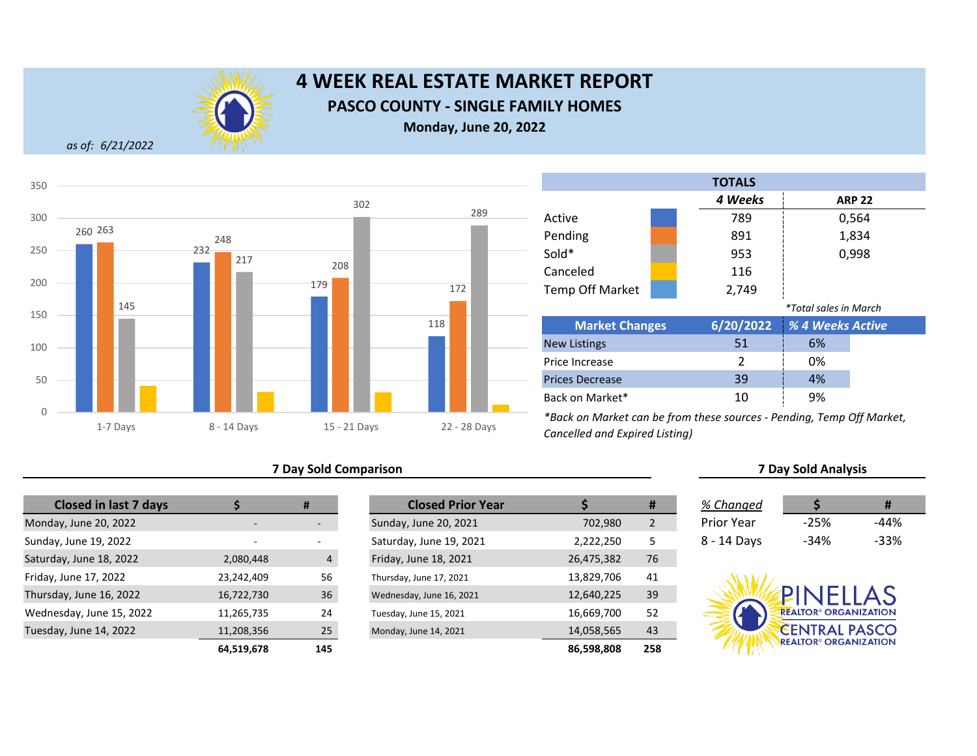

# **4 WEEK REAL ESTATE MARKET REPORT PASCO COUNTY - SINGLE FAMILY HOMES Monday, June 20, 2022**

*as of: 6/21/2022*



## **7 Day Sold Comparison 7 Day Sold Analysis**

| <b>Closed in last 7 days</b> |            | #                        | <b>Closed Prior Year</b> |            |
|------------------------------|------------|--------------------------|--------------------------|------------|
| Monday, June 20, 2022        |            |                          | Sunday, June 20, 2021    | 702,980    |
| Sunday, June 19, 2022        | ۰          | $\overline{\phantom{0}}$ | Saturday, June 19, 2021  | 2,222,250  |
| Saturday, June 18, 2022      | 2,080,448  | $\overline{4}$           | Friday, June 18, 2021    | 26,475,382 |
| Friday, June 17, 2022        | 23,242,409 | 56                       | Thursday, June 17, 2021  | 13,829,706 |
| Thursday, June 16, 2022      | 16,722,730 | 36                       | Wednesday, June 16, 2021 | 12,640,225 |
| Wednesday, June 15, 2022     | 11,265,735 | 24                       | Tuesday, June 15, 2021   | 16,669,700 |
| Tuesday, June 14, 2022       | 11,208,356 | 25                       | Monday, June 14, 2021    | 14,058,565 |
|                              | 64 519 678 | 145                      |                          | 86 598 808 |

|            | #                        | <b>Closed Prior Year</b> |            | #              | % Changed         |                                         |        |
|------------|--------------------------|--------------------------|------------|----------------|-------------------|-----------------------------------------|--------|
|            | $\overline{\phantom{a}}$ | Sunday, June 20, 2021    | 702,980    | $\overline{2}$ | <b>Prior Year</b> | $-25%$                                  | $-44%$ |
| $\sim$     | $\overline{\phantom{0}}$ | Saturday, June 19, 2021  | 2,222,250  | 5              | 8 - 14 Days       | $-34%$                                  | $-33%$ |
| 2,080,448  | $\overline{4}$           | Friday, June 18, 2021    | 26,475,382 | 76             |                   |                                         |        |
| 23,242,409 | 56                       | Thursday, June 17, 2021  | 13,829,706 | 41             |                   |                                         |        |
| 16,722,730 | 36                       | Wednesday, June 16, 2021 | 12,640,225 | 39             |                   | PINELLAS                                |        |
| 11,265,735 | 24                       | Tuesday, June 15, 2021   | 16,669,700 | 52             |                   | <b>REALTOR® ORGANIZATION</b>            |        |
| 11,208,356 | 25                       | Monday, June 14, 2021    | 14,058,565 | 43             |                   | <b>CENTRAL PASCO</b>                    |        |
| 64,519,678 | 145                      |                          | 86,598,808 | 258            |                   | <b>REALTOR<sup>®</sup> ORGANIZATION</b> |        |

|                        |  | <b>TOTALS</b> |                       |               |
|------------------------|--|---------------|-----------------------|---------------|
|                        |  | 4 Weeks       |                       | <b>ARP 22</b> |
| Active                 |  | 789           |                       | 0,564         |
| Pending                |  | 891           |                       | 1,834         |
| Sold*                  |  | 953           |                       | 0,998         |
| Canceled               |  | 116           |                       |               |
| <b>Temp Off Market</b> |  | 2,749         |                       |               |
|                        |  |               | *Total sales in March |               |
| <b>Market Changes</b>  |  | 6/20/2022     | % 4 Weeks Active      |               |
| <b>New Listings</b>    |  | 51            | 6%                    |               |
| Price Increase         |  | $\mathcal{P}$ | 0%                    |               |
| <b>Prices Decrease</b> |  | 39            | 4%                    |               |
| Back on Market*        |  | 10            | 9%                    |               |

| % Changed   |        | Ħ    |
|-------------|--------|------|
| Prior Year  | $-25%$ | -44% |
| ่ - 14 Davs | -34%   | -33% |

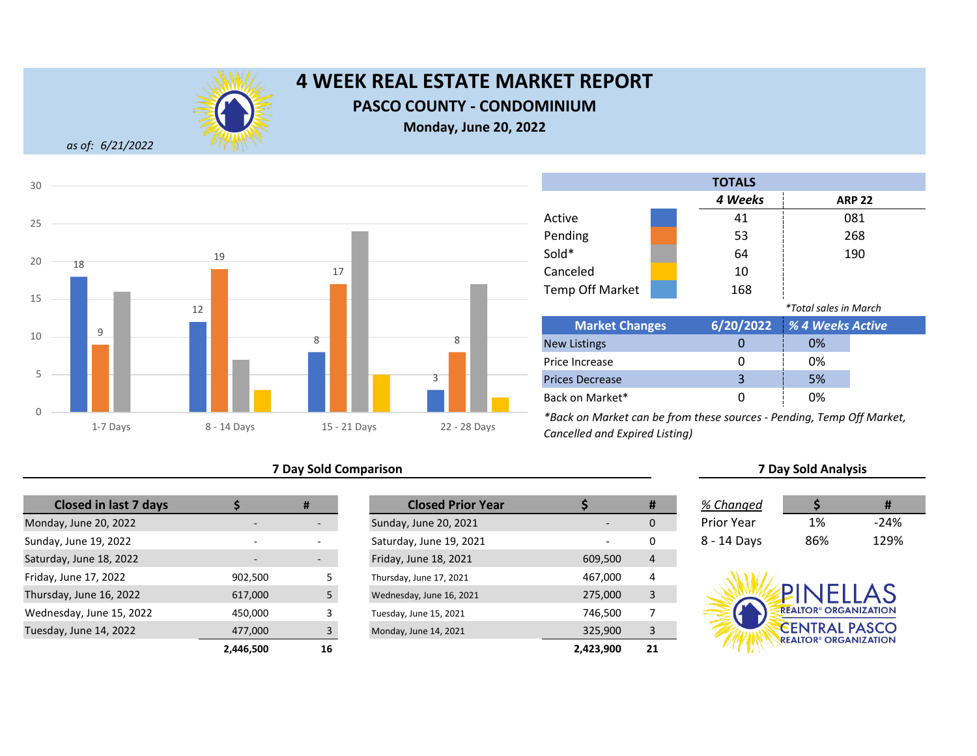

## **PASCO COUNTY - CONDOMINIUM**

**Monday, June 20, 2022**

*as of: 6/21/2022*



## **7 Day Sold Comparison 7 Day Sold Analysis**

| <b>Closed in last 7 days</b> |           | #   | <b>Closed Prior Year</b> |           |
|------------------------------|-----------|-----|--------------------------|-----------|
| Monday, June 20, 2022        |           |     | Sunday, June 20, 2021    |           |
| Sunday, June 19, 2022        |           |     | Saturday, June 19, 2021  |           |
| Saturday, June 18, 2022      |           |     | Friday, June 18, 2021    | 609,500   |
| Friday, June 17, 2022        | 902,500   | 5   | Thursday, June 17, 2021  | 467,000   |
| Thursday, June 16, 2022      | 617,000   | 5   | Wednesday, June 16, 2021 | 275,000   |
| Wednesday, June 15, 2022     | 450,000   | 3   | Tuesday, June 15, 2021   | 746,500   |
| Tuesday, June 14, 2022       | 477,000   | 3   | Monday, June 14, 2021    | 325,900   |
|                              | 2 446 500 | 16. |                          | 2.423.900 |

|                          | #  | <b>Closed Prior Year</b> |           | #  | % Changed         |                                                                 |        |
|--------------------------|----|--------------------------|-----------|----|-------------------|-----------------------------------------------------------------|--------|
|                          | -  | Sunday, June 20, 2021    |           | 0  | <b>Prior Year</b> | 1%                                                              | $-24%$ |
| $\overline{\phantom{a}}$ |    | Saturday, June 19, 2021  |           | 0  | 8 - 14 Days       | 86%                                                             | 129%   |
|                          | -  | Friday, June 18, 2021    | 609,500   | 4  |                   |                                                                 |        |
| 902,500                  |    | Thursday, June 17, 2021  | 467,000   | 4  |                   |                                                                 |        |
| 617,000                  |    | Wednesday, June 16, 2021 | 275,000   | 3  |                   | PINFIIAS                                                        |        |
| 450,000                  |    | Tuesday, June 15, 2021   | 746,500   |    |                   | <b>REALTOR<sup>®</sup> ORGANIZATION</b>                         |        |
| 477,000                  |    | Monday, June 14, 2021    | 325,900   | 3  |                   | <b>CENTRAL PASCO</b><br><b>REALTOR<sup>®</sup> ORGANIZATION</b> |        |
| 2,446,500                | 16 |                          | 2,423,900 | 21 |                   |                                                                 |        |

|                       | <b>TOTALS</b> |                              |               |  |
|-----------------------|---------------|------------------------------|---------------|--|
|                       | 4 Weeks       |                              | <b>ARP 22</b> |  |
| Active                | 41            |                              | 081           |  |
| Pending               | 53            |                              | 268           |  |
| Sold*                 | 64            |                              | 190           |  |
| Canceled              | 10            |                              |               |  |
| Temp Off Market       | 168           |                              |               |  |
|                       |               | <i>*Total sales in March</i> |               |  |
| <b>Market Changes</b> | 6/20/2022     | % 4 Weeks Active             |               |  |
| <b>New Listings</b>   | O             | 0%                           |               |  |
| Price Increase        | 0             | 0%                           |               |  |

0 0% 3 5% 0 0% Prices Decrease Back on Market\*

| % Changed   |     | #      |
|-------------|-----|--------|
| Prior Year  | 1%  | $-24%$ |
| 8 - 14 Days | 86% | 129%   |

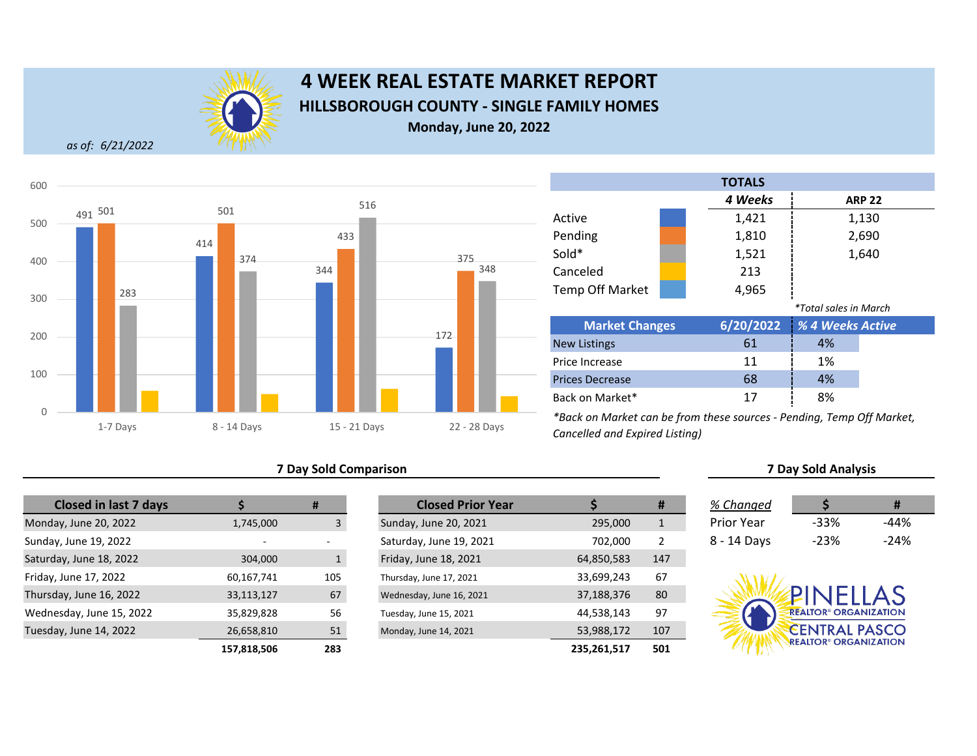

# **4 WEEK REAL ESTATE MARKET REPORT HILLSBOROUGH COUNTY - SINGLE FAMILY HOMES Monday, June 20, 2022**

*as of: 6/21/2022*



## **7 Day Sold Comparison 7 Day Sold Analysis**

| <b>Closed in last 7 days</b> |                    | #            | <b>Closed Prior Year</b> |                    |
|------------------------------|--------------------|--------------|--------------------------|--------------------|
| Monday, June 20, 2022        | 1,745,000          | 3            | Sunday, June 20, 2021    | 295,000            |
| Sunday, June 19, 2022        |                    |              | Saturday, June 19, 2021  | 702,000            |
| Saturday, June 18, 2022      | 304,000            | $\mathbf{1}$ | Friday, June 18, 2021    | 64,850,583         |
| Friday, June 17, 2022        | 60,167,741         | 105          | Thursday, June 17, 2021  | 33,699,243         |
| Thursday, June 16, 2022      | 33,113,127         | 67           | Wednesday, June 16, 2021 | 37,188,376         |
| Wednesday, June 15, 2022     | 35,829,828         | 56           | Tuesday, June 15, 2021   | 44,538,143         |
| Tuesday, June 14, 2022       | 26,658,810         | 51           | Monday, June 14, 2021    | 53,988,172         |
|                              | <b>127 010 EAC</b> | כסר          |                          | <b>225 261 517</b> |

|             | #            | <b>Closed Prior Year</b> |             | #            | % Changed   |                                         | #      |
|-------------|--------------|--------------------------|-------------|--------------|-------------|-----------------------------------------|--------|
| 1,745,000   | 3            | Sunday, June 20, 2021    | 295,000     | $\mathbf{1}$ | Prior Year  | $-33%$                                  | $-44%$ |
| -           |              | Saturday, June 19, 2021  | 702.000     | 2            | 8 - 14 Days | $-23%$                                  | $-24%$ |
| 304,000     | $\mathbf{1}$ | Friday, June 18, 2021    | 64,850,583  | 147          |             |                                         |        |
| 60,167,741  | 105          | Thursday, June 17, 2021  | 33,699,243  | 67           |             |                                         |        |
| 33,113,127  | 67           | Wednesday, June 16, 2021 | 37,188,376  | 80           |             | PINELLAS                                |        |
| 35,829,828  | 56           | Tuesday, June 15, 2021   | 44,538,143  | 97           |             | <b>REALTOR® ORGANIZATION</b>            |        |
| 26,658,810  | 51           | Monday, June 14, 2021    | 53,988,172  | 107          |             | <b>CENTRAL PASCO</b>                    |        |
| 157,818,506 | 283          |                          | 235,261,517 | 501          |             | <b>REALTOR<sup>®</sup> ORGANIZATION</b> |        |

|                       | <b>TOTALS</b> |                              |
|-----------------------|---------------|------------------------------|
|                       | 4 Weeks       | <b>ARP 22</b>                |
| Active                | 1,421         | 1,130                        |
| Pending               | 1,810         | 2,690                        |
| Sold*                 | 1,521         | 1,640                        |
| Canceled              | 213           |                              |
| Temp Off Market       | 4,965         |                              |
|                       |               | <i>*Total sales in March</i> |
| <b>Market Changes</b> |               | 6/20/2022 % 4 Weeks Active   |

| <b>Market Changes</b>  |    | 6/20/2022 % 4 Weeks Active |  |
|------------------------|----|----------------------------|--|
| <b>New Listings</b>    | 61 | 4%                         |  |
| Price Increase         | 11 | 1%                         |  |
| <b>Prices Decrease</b> | 68 | 4%                         |  |
| Back on Market*        | 17 | 8%                         |  |

| % Changed   | S      | #      |
|-------------|--------|--------|
| Prior Year  | -33%   | -44%   |
| 8 - 14 Days | $-23%$ | $-24%$ |

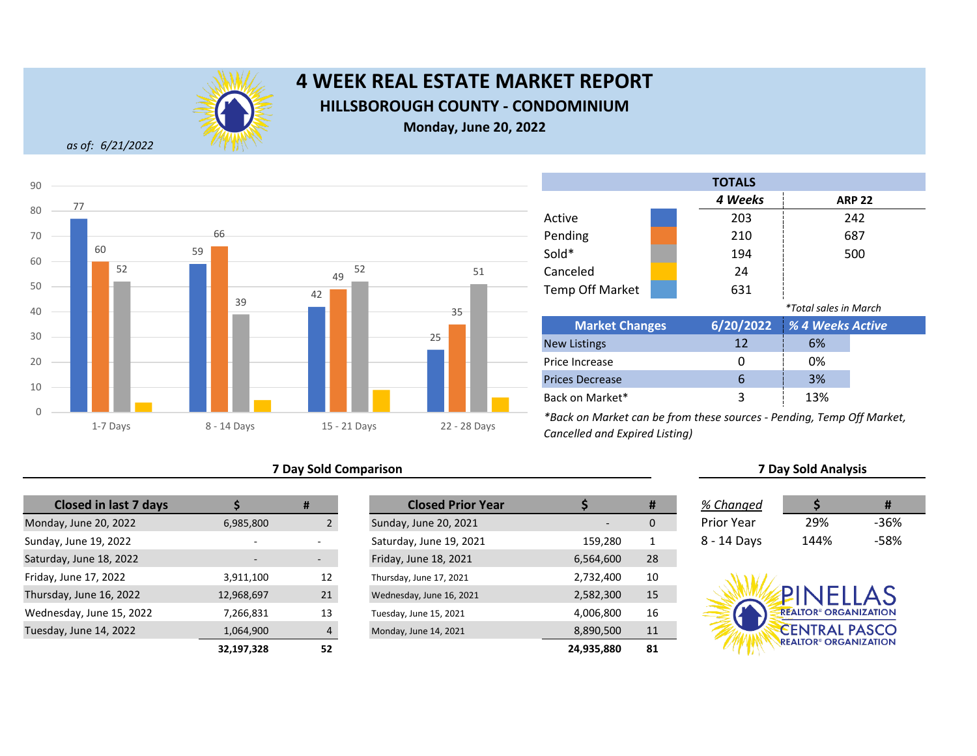

# **4 WEEK REAL ESTATE MARKET REPORT HILLSBOROUGH COUNTY - CONDOMINIUM**

**Monday, June 20, 2022**

*as of: 6/21/2022*



## **7 Day Sold Comparison 7 Day Sold Analysis**

| <b>Closed in last 7 days</b> |                          | #  | <b>Closed Prior Year</b> |            |
|------------------------------|--------------------------|----|--------------------------|------------|
| Monday, June 20, 2022        | 6,985,800                |    | Sunday, June 20, 2021    |            |
| Sunday, June 19, 2022        | $\overline{\phantom{0}}$ |    | Saturday, June 19, 2021  | 159,280    |
| Saturday, June 18, 2022      |                          |    | Friday, June 18, 2021    | 6,564,600  |
| Friday, June 17, 2022        | 3,911,100                | 12 | Thursday, June 17, 2021  | 2,732,400  |
| Thursday, June 16, 2022      | 12,968,697               | 21 | Wednesday, June 16, 2021 | 2,582,300  |
| Wednesday, June 15, 2022     | 7,266,831                | 13 | Tuesday, June 15, 2021   | 4,006,800  |
| Tuesday, June 14, 2022       | 1,064,900                | 4  | Monday, June 14, 2021    | 8,890,500  |
|                              | 22 197 228               | 52 |                          | 24 935 880 |

|                          | #                        | <b>Closed Prior Year</b> |            | #  | % Changed         |                                         |        |
|--------------------------|--------------------------|--------------------------|------------|----|-------------------|-----------------------------------------|--------|
| 6,985,800                |                          | Sunday, June 20, 2021    |            | 0  | <b>Prior Year</b> | 29%                                     | $-36%$ |
|                          |                          | Saturday, June 19, 2021  | 159,280    | 1  | 8 - 14 Days       | 144%                                    | $-58%$ |
| $\overline{\phantom{0}}$ | $\overline{\phantom{a}}$ | Friday, June 18, 2021    | 6,564,600  | 28 |                   |                                         |        |
| 3,911,100                | 12                       | Thursday, June 17, 2021  | 2,732,400  | 10 |                   |                                         |        |
| 12,968,697               | 21                       | Wednesday, June 16, 2021 | 2,582,300  | 15 |                   | PINELLAS                                |        |
| 7,266,831                | 13                       | Tuesday, June 15, 2021   | 4,006,800  | 16 |                   | <b>REALTOR® ORGANIZATION</b>            |        |
| 1,064,900                |                          | Monday, June 14, 2021    | 8,890,500  | 11 |                   | <b>CENTRAL PASCO</b>                    |        |
| 32,197,328               | 52                       |                          | 24,935,880 | 81 |                   | <b>REALTOR<sup>®</sup> ORGANIZATION</b> |        |

|                        | <b>TOTALS</b> |                              |               |
|------------------------|---------------|------------------------------|---------------|
|                        | 4 Weeks       |                              | <b>ARP 22</b> |
| Active                 | 203           |                              | 242           |
| Pending                | 210           |                              | 687           |
| Sold*                  | 194           |                              | 500           |
| Canceled               | 24            |                              |               |
| <b>Temp Off Market</b> | 631           |                              |               |
|                        |               | <i>*Total sales in March</i> |               |
| <b>Market Changes</b>  | 6/20/2022     | <b>1% 4 Weeks Active</b>     |               |
|                        | $\sim$        | $\sim$                       |               |

| <b>Market Changes</b>  |    | 6/20/2022   % 4 Weeks Active |  |
|------------------------|----|------------------------------|--|
| <b>New Listings</b>    | 12 | 6%                           |  |
| Price Increase         |    | 0%                           |  |
| <b>Prices Decrease</b> |    | 3%                           |  |
| Back on Market*        |    | 13%                          |  |

| % Changed   |      | #    |
|-------------|------|------|
| rior Year?  | 29%  | -36% |
| 3 - 14 Days | 144% | -58% |

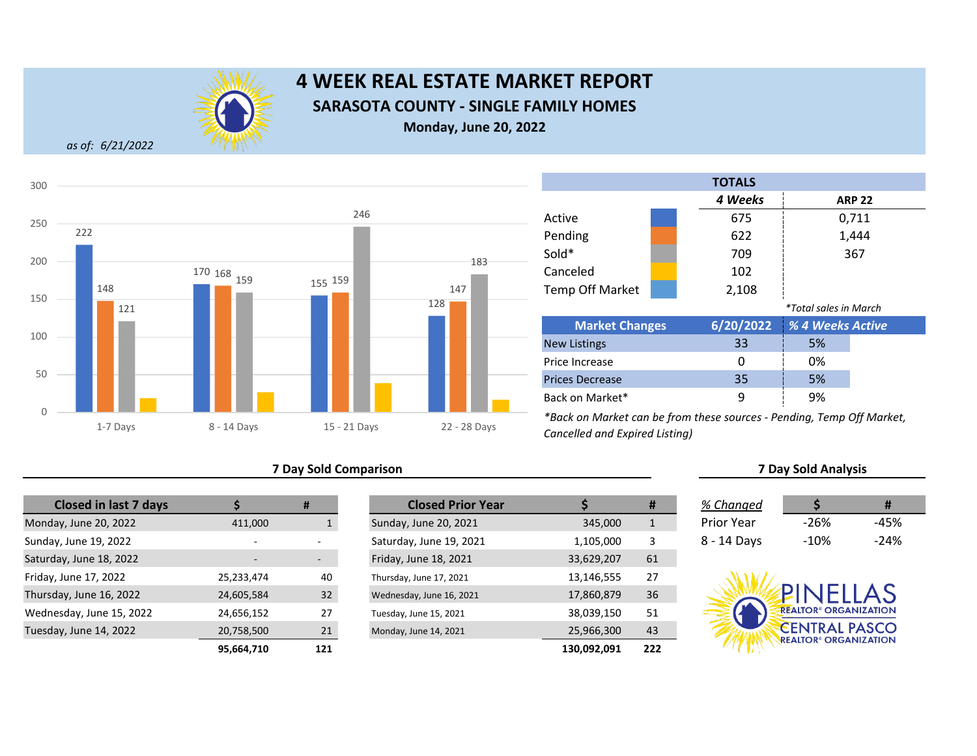

# **4 WEEK REAL ESTATE MARKET REPORT SARASOTA COUNTY - SINGLE FAMILY HOMES Monday, June 20, 2022**

*as of: 6/21/2022*



## **7 Day Sold Comparison 7 Day Sold Analysis**

| <b>Closed in last 7 days</b> |                | #   | <b>Closed Prior Year</b> |             |
|------------------------------|----------------|-----|--------------------------|-------------|
| Monday, June 20, 2022        | 411,000        |     | Sunday, June 20, 2021    | 345,000     |
| Sunday, June 19, 2022        | $\overline{a}$ |     | Saturday, June 19, 2021  | 1,105,000   |
| Saturday, June 18, 2022      |                |     | Friday, June 18, 2021    | 33,629,207  |
| Friday, June 17, 2022        | 25,233,474     | 40  | Thursday, June 17, 2021  | 13,146,555  |
| Thursday, June 16, 2022      | 24,605,584     | 32  | Wednesday, June 16, 2021 | 17,860,879  |
| Wednesday, June 15, 2022     | 24,656,152     | 27  | Tuesday, June 15, 2021   | 38,039,150  |
| Tuesday, June 14, 2022       | 20,758,500     | 21  | Monday, June 14, 2021    | 25,966,300  |
|                              | 95.664.710     | 121 |                          | 130.092.091 |

|            | #                        | <b>Closed Prior Year</b> |             | #   | % Changed         |                                         | #      |
|------------|--------------------------|--------------------------|-------------|-----|-------------------|-----------------------------------------|--------|
| 411,000    |                          | Sunday, June 20, 2021    | 345,000     | 1   | <b>Prior Year</b> | $-26%$                                  | $-45%$ |
|            |                          | Saturday, June 19, 2021  | 1,105,000   | 3   | 8 - 14 Days       | $-10\%$                                 | $-24%$ |
|            | $\overline{\phantom{a}}$ | Friday, June 18, 2021    | 33,629,207  | 61  |                   |                                         |        |
| 25,233,474 | 40                       | Thursday, June 17, 2021  | 13,146,555  | 27  |                   |                                         |        |
| 24,605,584 | 32                       | Wednesday, June 16, 2021 | 17,860,879  | 36  |                   | PINFILAS                                |        |
| 24,656,152 | 27                       | Tuesday, June 15, 2021   | 38,039,150  | 51  |                   | <b>REALTOR® ORGANIZATION</b>            |        |
| 20,758,500 | 21                       | Monday, June 14, 2021    | 25,966,300  | 43  |                   | <b>CENTRAL PASCO</b>                    |        |
| 95,664,710 | 121                      |                          | 130,092,091 | 222 |                   | <b>REALTOR<sup>®</sup> ORGANIZATION</b> |        |

|                        | <b>TOTALS</b> |                              |               |
|------------------------|---------------|------------------------------|---------------|
|                        | 4 Weeks       |                              | <b>ARP 22</b> |
| Active                 | 675           |                              | 0,711         |
| Pending                | 622           |                              | 1,444         |
| Sold*                  | 709           |                              | 367           |
| Canceled               | 102           |                              |               |
| <b>Temp Off Market</b> | 2,108         |                              |               |
|                        |               | <i>*Total sales in March</i> |               |
| <b>Market Changes</b>  | 6/20/2022     | % 4 Weeks Active             |               |
| <b>New Listings</b>    | 33            | 5%                           |               |
| Price Increase         | Ω             | 0%                           |               |
| <b>Prices Decrease</b> | 35            | 5%                           |               |
| Back on Market*        | 9             | 9%                           |               |

| Changed |       |       |
|---------|-------|-------|
| or Vaar | -2604 | -4502 |

|             | - - - - | .      |
|-------------|---------|--------|
| 3 - 14 Days | -10%    | $-24%$ |
|             |         |        |
|             |         |        |

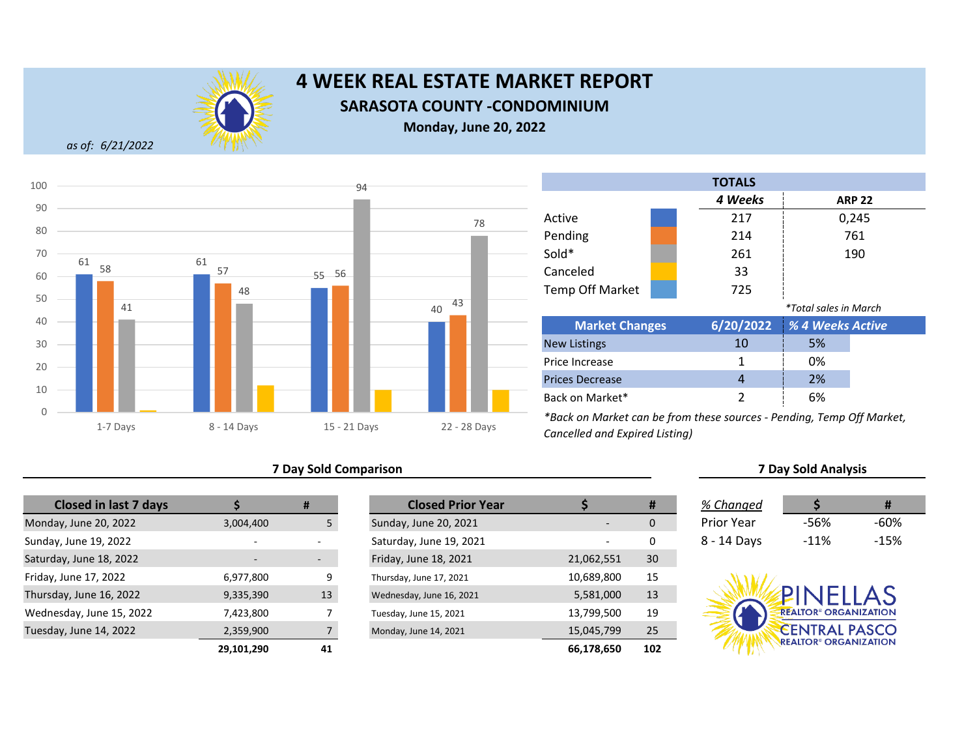

# **4 WEEK REAL ESTATE MARKET REPORT SARASOTA COUNTY -CONDOMINIUM**

**Monday, June 20, 2022**

*as of: 6/21/2022*



|                        |  | <b>TOTALS</b> |                              |               |
|------------------------|--|---------------|------------------------------|---------------|
|                        |  | 4 Weeks       |                              | <b>ARP 22</b> |
| Active                 |  | 217           |                              | 0,245         |
| Pending                |  | 214           |                              | 761           |
| Sold*                  |  | 261           |                              | 190           |
| Canceled               |  | 33            |                              |               |
| <b>Temp Off Market</b> |  | 725           |                              |               |
|                        |  |               | <i>*Total sales in March</i> |               |
| <b>Market Changes</b>  |  | 6/20/2022     | % 4 Weeks Active             |               |
| <b>New Listings</b>    |  | 10            | 5%                           |               |
| Price Increase         |  | 1             | 0%                           |               |
| <b>Prices Decrease</b> |  | 4             | 2%                           |               |

*\*Back on Market can be from these sources - Pending, Temp Off Market, Cancelled and Expired Listing)*

## **7 Day Sold Comparison 7 Day Sold Analysis**

| <b>Closed in last 7 days</b> |                          | #  | <b>Closed Prior Year</b> |            |
|------------------------------|--------------------------|----|--------------------------|------------|
| Monday, June 20, 2022        | 3,004,400                | 5  | Sunday, June 20, 2021    |            |
| Sunday, June 19, 2022        | $\overline{\phantom{0}}$ |    | Saturday, June 19, 2021  |            |
| Saturday, June 18, 2022      |                          |    | Friday, June 18, 2021    | 21,062,551 |
| Friday, June 17, 2022        | 6,977,800                | 9  | Thursday, June 17, 2021  | 10,689,800 |
| Thursday, June 16, 2022      | 9,335,390                | 13 | Wednesday, June 16, 2021 | 5,581,000  |
| Wednesday, June 15, 2022     | 7,423,800                |    | Tuesday, June 15, 2021   | 13,799,500 |
| Tuesday, June 14, 2022       | 2,359,900                |    | Monday, June 14, 2021    | 15,045,799 |
|                              | 29 101 290               | 41 |                          | 66 178 650 |

|                | #                        | <b>Closed Prior Year</b> |            | #   | % Changed         |                                         | #      |
|----------------|--------------------------|--------------------------|------------|-----|-------------------|-----------------------------------------|--------|
| 3,004,400      |                          | Sunday, June 20, 2021    |            | 0   | <b>Prior Year</b> | -56%                                    | $-60%$ |
| $\overline{a}$ |                          | Saturday, June 19, 2021  |            | 0   | 8 - 14 Days       | $-11%$                                  | $-15%$ |
|                | $\overline{\phantom{a}}$ | Friday, June 18, 2021    | 21,062,551 | 30  |                   |                                         |        |
| 6,977,800      | 9                        | Thursday, June 17, 2021  | 10,689,800 | 15  |                   |                                         |        |
| 9,335,390      | 13                       | Wednesday, June 16, 2021 | 5,581,000  | 13  |                   | PINELLAS                                |        |
| 7,423,800      |                          | Tuesday, June 15, 2021   | 13,799,500 | 19  |                   | <b>REALTOR® ORGANIZATION</b>            |        |
| 2,359,900      |                          | Monday, June 14, 2021    | 15,045,799 | 25  |                   | <b>CENTRAL PASCO</b>                    |        |
| 29,101,290     | 41                       |                          | 66,178,650 | 102 |                   | <b>REALTOR<sup>®</sup> ORGANIZATION</b> |        |

Back on Market\*

2 6%

| % Changed   |        | #      |
|-------------|--------|--------|
| Prior Year  | -56%   | -60%   |
| 8 - 14 Days | $-11%$ | $-15%$ |

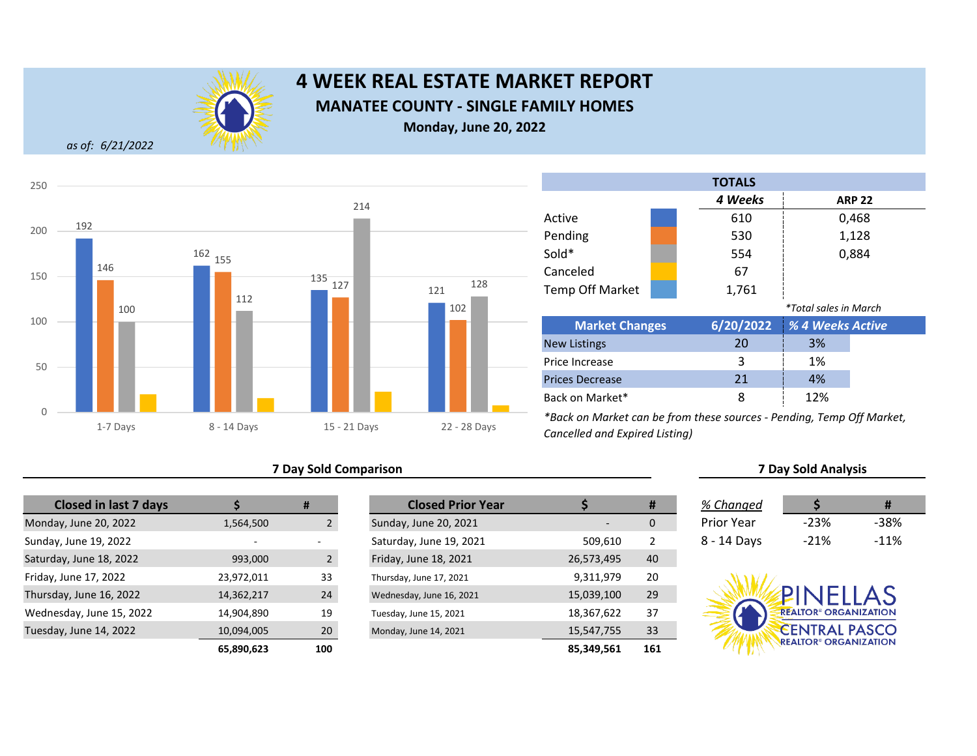

# **4 WEEK REAL ESTATE MARKET REPORT MANATEE COUNTY - SINGLE FAMILY HOMES Monday, June 20, 2022**

*as of: 6/21/2022*



## **7 Day Sold Comparison 7 Day Sold Analysis**

| <b>Closed in last 7 days</b> |                          | #           | <b>Closed Prior Year</b> |            |
|------------------------------|--------------------------|-------------|--------------------------|------------|
| Monday, June 20, 2022        | 1,564,500                |             | Sunday, June 20, 2021    |            |
| Sunday, June 19, 2022        | $\overline{\phantom{0}}$ |             | Saturday, June 19, 2021  | 509,610    |
| Saturday, June 18, 2022      | 993,000                  | $2^{\circ}$ | Friday, June 18, 2021    | 26,573,495 |
| Friday, June 17, 2022        | 23,972,011               | 33          | Thursday, June 17, 2021  | 9,311,979  |
| Thursday, June 16, 2022      | 14,362,217               | 24          | Wednesday, June 16, 2021 | 15,039,100 |
| Wednesday, June 15, 2022     | 14,904,890               | 19          | Tuesday, June 15, 2021   | 18,367,622 |
| Tuesday, June 14, 2022       | 10,094,005               | 20          | Monday, June 14, 2021    | 15,547,755 |
|                              | <b>65.890.623</b>        | 1ሰበ         |                          | 85 349 561 |

|                          | #               | <b>Closed Prior Year</b> |            | #              | % Changed         |                                         |        |
|--------------------------|-----------------|--------------------------|------------|----------------|-------------------|-----------------------------------------|--------|
| 1,564,500                |                 | Sunday, June 20, 2021    |            | 0              | <b>Prior Year</b> | $-23%$                                  | $-38%$ |
| $\overline{\phantom{a}}$ | -               | Saturday, June 19, 2021  | 509,610    | $\overline{2}$ | 8 - 14 Days       | $-21%$                                  | $-11%$ |
| 993,000                  |                 | Friday, June 18, 2021    | 26,573,495 | 40             |                   |                                         |        |
| 23,972,011               | 33              | Thursday, June 17, 2021  | 9,311,979  | 20             |                   |                                         |        |
| 14,362,217               | 24              | Wednesday, June 16, 2021 | 15,039,100 | 29             |                   | PINELLAS                                |        |
| 14,904,890               | 19              | Tuesday, June 15, 2021   | 18,367,622 | 37             |                   | <b>REALTOR<sup>®</sup> ORGANIZATION</b> |        |
| 10,094,005               | 20 <sup>°</sup> | Monday, June 14, 2021    | 15,547,755 | 33             |                   | <b>CENTRAL PASCO</b>                    |        |
| 65,890,623               | 100             |                          | 85,349,561 | 161            |                   | <b>REALTOR<sup>®</sup> ORGANIZATION</b> |        |

| <b>TOTALS</b>   |                        |  |           |                              |               |  |
|-----------------|------------------------|--|-----------|------------------------------|---------------|--|
|                 |                        |  | 4 Weeks   |                              | <b>ARP 22</b> |  |
|                 | Active                 |  | 610       |                              | 0,468         |  |
|                 | Pending                |  | 530       |                              | 1,128         |  |
|                 | Sold*                  |  | 554       |                              | 0,884         |  |
|                 | Canceled               |  | 67        |                              |               |  |
|                 | <b>Temp Off Market</b> |  | 1,761     |                              |               |  |
|                 |                        |  |           | <i>*Total sales in March</i> |               |  |
|                 | <b>Market Changes</b>  |  | 6/20/2022 | % 4 Weeks Active             |               |  |
|                 | <b>New Listings</b>    |  | 20        | 3%                           |               |  |
|                 | Price Increase         |  | 3         | 1%                           |               |  |
|                 | <b>Prices Decrease</b> |  | 21        | 4%                           |               |  |
| Back on Market* |                        |  | 8         | 12%                          |               |  |

| 6 Changed   |        |        |
|-------------|--------|--------|
| 'rior Year  | $-23%$ | -38%   |
| $= 14$ Dave | -21%   | $-11%$ |